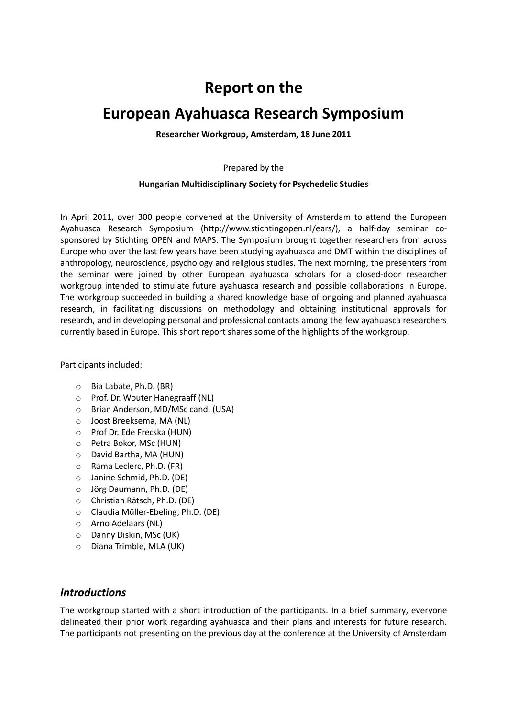# **Report on the**

# **European Ayahuasca Research Symposium**

**Researcher Workgroup, Amsterdam, 18 June 2011**

Prepared by the

#### **Hungarian Multidisciplinary Society for Psychedelic Studies**

In April 2011, over 300 people convened at the University of Amsterdam to attend the European Ayahuasca Research Symposium (http://www.stichtingopen.nl/ears/), a half-day seminar cosponsored by Stichting OPEN and MAPS. The Symposium brought together researchers from across Europe who over the last few years have been studying ayahuasca and DMT within the disciplines of anthropology, neuroscience, psychology and religious studies. The next morning, the presenters from the seminar were joined by other European ayahuasca scholars for a closed-door researcher workgroup intended to stimulate future ayahuasca research and possible collaborations in Europe. The workgroup succeeded in building a shared knowledge base of ongoing and planned ayahuasca research, in facilitating discussions on methodology and obtaining institutional approvals for research, and in developing personal and professional contacts among the few ayahuasca researchers currently based in Europe. This short report shares some of the highlights of the workgroup.

Participants included:

- o Bia Labate, Ph.D. (BR)
- o Prof. Dr. Wouter Hanegraaff (NL)
- o Brian Anderson, MD/MSc cand. (USA)
- o Joost Breeksema, MA (NL)
- o Prof Dr. Ede Frecska (HUN)
- o Petra Bokor, MSc (HUN)
- o David Bartha, MA (HUN)
- o Rama Leclerc, Ph.D. (FR)
- o Janine Schmid, Ph.D. (DE)
- o Jörg Daumann, Ph.D. (DE)
- o Christian Rätsch, Ph.D. (DE)
- o Claudia Müller-Ebeling, Ph.D. (DE)
- o Arno Adelaars (NL)
- o Danny Diskin, MSc (UK)
- o Diana Trimble, MLA (UK)

### *Introductions*

The workgroup started with a short introduction of the participants. In a brief summary, everyone delineated their prior work regarding ayahuasca and their plans and interests for future research. The participants not presenting on the previous day at the conference at the University of Amsterdam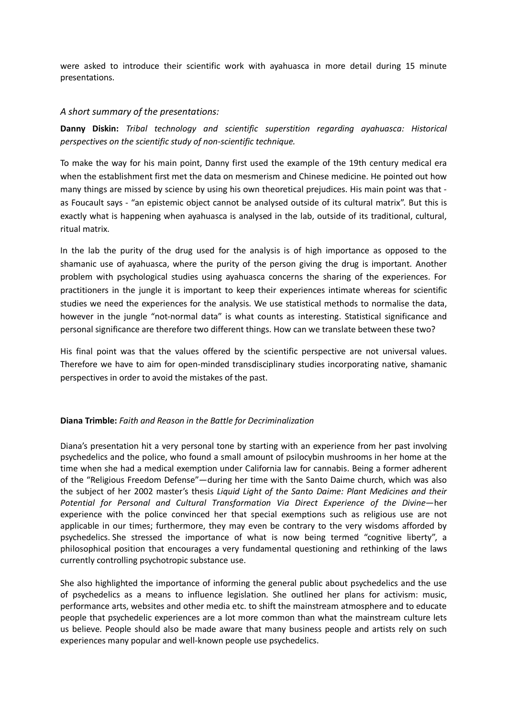were asked to introduce their scientific work with ayahuasca in more detail during 15 minute presentations.

### *A short summary of the presentations:*

**Danny Diskin:** *Tribal technology and scientific superstition regarding ayahuasca: Historical perspectives on the scientific study of non-scientific technique.*

To make the way for his main point, Danny first used the example of the 19th century medical era when the establishment first met the data on mesmerism and Chinese medicine. He pointed out how many things are missed by science by using his own theoretical prejudices. His main point was that as Foucault says - "an epistemic object cannot be analysed outside of its cultural matrix". But this is exactly what is happening when ayahuasca is analysed in the lab, outside of its traditional, cultural, ritual matrix.

In the lab the purity of the drug used for the analysis is of high importance as opposed to the shamanic use of ayahuasca, where the purity of the person giving the drug is important. Another problem with psychological studies using ayahuasca concerns the sharing of the experiences. For practitioners in the jungle it is important to keep their experiences intimate whereas for scientific studies we need the experiences for the analysis. We use statistical methods to normalise the data, however in the jungle "not-normal data" is what counts as interesting. Statistical significance and personal significance are therefore two different things. How can we translate between these two?

His final point was that the values offered by the scientific perspective are not universal values. Therefore we have to aim for open-minded transdisciplinary studies incorporating native, shamanic perspectives in order to avoid the mistakes of the past.

### **Diana Trimble:** *Faith and Reason in the Battle for Decriminalization*

Diana's presentation hit a very personal tone by starting with an experience from her past involving psychedelics and the police, who found a small amount of psilocybin mushrooms in her home at the time when she had a medical exemption under California law for cannabis. Being a former adherent of the "Religious Freedom Defense"—during her time with the Santo Daime church, which was also the subject of her 2002 master's thesis *Liquid Light of the Santo Daime: Plant Medicines and their*  Potential for Personal and Cultural Transformation Via Direct Experience of the Divine-her experience with the police convinced her that special exemptions such as religious use are not applicable in our times; furthermore, they may even be contrary to the very wisdoms afforded by psychedelics. She stressed the importance of what is now being termed "cognitive liberty", a philosophical position that encourages a very fundamental questioning and rethinking of the laws currently controlling psychotropic substance use.

She also highlighted the importance of informing the general public about psychedelics and the use of psychedelics as a means to influence legislation. She outlined her plans for activism: music, performance arts, websites and other media etc. to shift the mainstream atmosphere and to educate people that psychedelic experiences are a lot more common than what the mainstream culture lets us believe. People should also be made aware that many business people and artists rely on such experiences many popular and well-known people use psychedelics.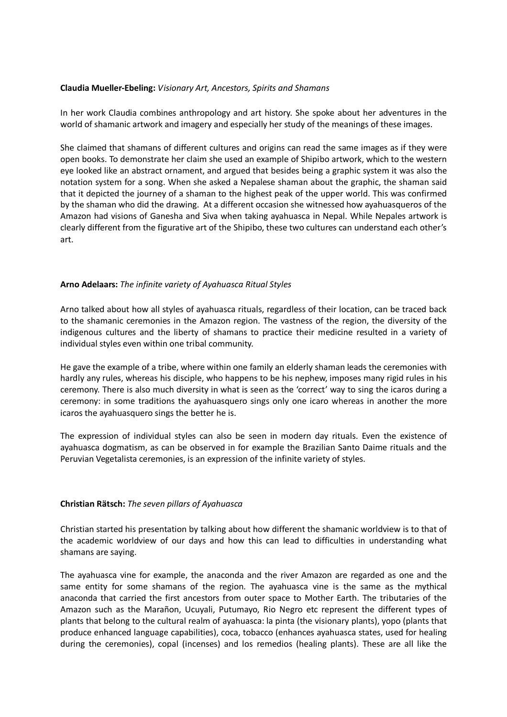### **Claudia Mueller-Ebeling:** *Visionary Art, Ancestors, Spirits and Shamans*

In her work Claudia combines anthropology and art history. She spoke about her adventures in the world of shamanic artwork and imagery and especially her study of the meanings of these images.

She claimed that shamans of different cultures and origins can read the same images as if they were open books. To demonstrate her claim she used an example of Shipibo artwork, which to the western eye looked like an abstract ornament, and argued that besides being a graphic system it was also the notation system for a song. When she asked a Nepalese shaman about the graphic, the shaman said that it depicted the journey of a shaman to the highest peak of the upper world. This was confirmed by the shaman who did the drawing. At a different occasion she witnessed how ayahuasqueros of the Amazon had visions of Ganesha and Siva when taking ayahuasca in Nepal. While Nepales artwork is clearly different from the figurative art of the Shipibo, these two cultures can understand each other's art.

### **Arno Adelaars:** *The infinite variety of Ayahuasca Ritual Styles*

Arno talked about how all styles of ayahuasca rituals, regardless of their location, can be traced back to the shamanic ceremonies in the Amazon region. The vastness of the region, the diversity of the indigenous cultures and the liberty of shamans to practice their medicine resulted in a variety of individual styles even within one tribal community.

He gave the example of a tribe, where within one family an elderly shaman leads the ceremonies with hardly any rules, whereas his disciple, who happens to be his nephew, imposes many rigid rules in his ceremony. There is also much diversity in what is seen as the 'correct' way to sing the icaros during a ceremony: in some traditions the ayahuasquero sings only one icaro whereas in another the more icaros the ayahuasquero sings the better he is.

The expression of individual styles can also be seen in modern day rituals. Even the existence of ayahuasca dogmatism, as can be observed in for example the Brazilian Santo Daime rituals and the Peruvian Vegetalista ceremonies, is an expression of the infinite variety of styles.

### **Christian Rätsch:** *The seven pillars of Ayahuasca*

Christian started his presentation by talking about how different the shamanic worldview is to that of the academic worldview of our days and how this can lead to difficulties in understanding what shamans are saying.

The ayahuasca vine for example, the anaconda and the river Amazon are regarded as one and the same entity for some shamans of the region. The ayahuasca vine is the same as the mythical anaconda that carried the first ancestors from outer space to Mother Earth. The tributaries of the Amazon such as the Marañon, Ucuyali, Putumayo, Rio Negro etc represent the different types of plants that belong to the cultural realm of ayahuasca: la pinta (the visionary plants), yopo (plants that produce enhanced language capabilities), coca, tobacco (enhances ayahuasca states, used for healing during the ceremonies), copal (incenses) and los remedios (healing plants). These are all like the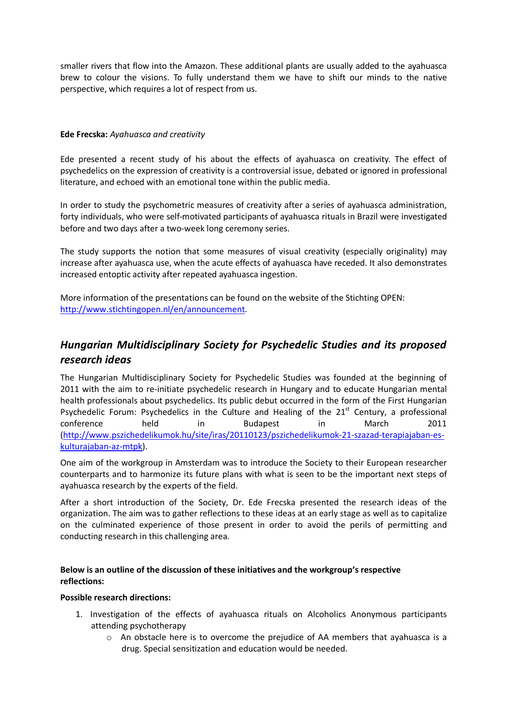smaller rivers that flow into the Amazon. These additional plants are usually added to the ayahuasca brew to colour the visions. To fully understand them we have to shift our minds to the native perspective, which requires a lot of respect from us.

### **Ede Frecska:** *Ayahuasca and creativity*

Ede presented a recent study of his about the effects of ayahuasca on creativity. The effect of psychedelics on the expression of creativity is a controversial issue, debated or ignored in professional literature, and echoed with an emotional tone within the public media.

In order to study the psychometric measures of creativity after a series of ayahuasca administration, forty individuals, who were self-motivated participants of ayahuasca rituals in Brazil were investigated before and two days after a two-week long ceremony series.

The study supports the notion that some measures of visual creativity (especially originality) may increase after ayahuasca use, when the acute effects of ayahuasca have receded. It also demonstrates increased entoptic activity after repeated ayahuasca ingestion.

More information of the presentations can be found on the website of the Stichting OPEN: http://www.stichtingopen.nl/en/announcement.

# *Hungarian Multidisciplinary Society for Psychedelic Studies and its proposed research ideas*

The Hungarian Multidisciplinary Society for Psychedelic Studies was founded at the beginning of 2011 with the aim to re-initiate psychedelic research in Hungary and to educate Hungarian mental health professionals about psychedelics. Its public debut occurred in the form of the First Hungarian Psychedelic Forum: Psychedelics in the Culture and Healing of the  $21<sup>st</sup>$  Century, a professional conference held in Budapest in March 2011 (http://www.pszichedelikumok.hu/site/iras/20110123/pszichedelikumok-21-szazad-terapiajaban-eskulturajaban-az-mtpk).

One aim of the workgroup in Amsterdam was to introduce the Society to their European researcher counterparts and to harmonize its future plans with what is seen to be the important next steps of ayahuasca research by the experts of the field.

After a short introduction of the Society, Dr. Ede Frecska presented the research ideas of the organization. The aim was to gather reflections to these ideas at an early stage as well as to capitalize on the culminated experience of those present in order to avoid the perils of permitting and conducting research in this challenging area.

### **Below is an outline of the discussion of these initiatives and the workgroup's respective reflections:**

### **Possible research directions:**

- 1. Investigation of the effects of ayahuasca rituals on Alcoholics Anonymous participants attending psychotherapy
	- $\circ$  An obstacle here is to overcome the prejudice of AA members that ayahuasca is a drug. Special sensitization and education would be needed.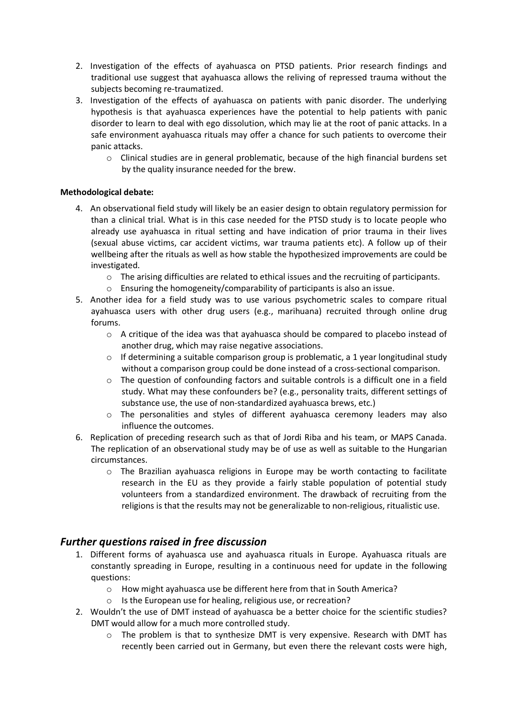- 2. Investigation of the effects of ayahuasca on PTSD patients. Prior research findings and traditional use suggest that ayahuasca allows the reliving of repressed trauma without the subjects becoming re-traumatized.
- 3. Investigation of the effects of ayahuasca on patients with panic disorder. The underlying hypothesis is that ayahuasca experiences have the potential to help patients with panic disorder to learn to deal with ego dissolution, which may lie at the root of panic attacks. In a safe environment ayahuasca rituals may offer a chance for such patients to overcome their panic attacks.
	- $\circ$  Clinical studies are in general problematic, because of the high financial burdens set by the quality insurance needed for the brew.

### **Methodological debate:**

- 4. An observational field study will likely be an easier design to obtain regulatory permission for than a clinical trial. What is in this case needed for the PTSD study is to locate people who already use ayahuasca in ritual setting and have indication of prior trauma in their lives (sexual abuse victims, car accident victims, war trauma patients etc). A follow up of their wellbeing after the rituals as well as how stable the hypothesized improvements are could be investigated.
	- $\circ$  The arising difficulties are related to ethical issues and the recruiting of participants.
	- o Ensuring the homogeneity/comparability of participants is also an issue.
- 5. Another idea for a field study was to use various psychometric scales to compare ritual ayahuasca users with other drug users (e.g., marihuana) recruited through online drug forums.
	- $\circ$  A critique of the idea was that ayahuasca should be compared to placebo instead of another drug, which may raise negative associations.
	- $\circ$  If determining a suitable comparison group is problematic, a 1 year longitudinal study without a comparison group could be done instead of a cross-sectional comparison.
	- o The question of confounding factors and suitable controls is a difficult one in a field study. What may these confounders be? (e.g., personality traits, different settings of substance use, the use of non-standardized ayahuasca brews, etc.)
	- o The personalities and styles of different ayahuasca ceremony leaders may also influence the outcomes.
- 6. Replication of preceding research such as that of Jordi Riba and his team, or MAPS Canada. The replication of an observational study may be of use as well as suitable to the Hungarian circumstances.
	- $\circ$  The Brazilian ayahuasca religions in Europe may be worth contacting to facilitate research in the EU as they provide a fairly stable population of potential study volunteers from a standardized environment. The drawback of recruiting from the religions is that the results may not be generalizable to non-religious, ritualistic use.

## *Further questions raised in free discussion*

- 1. Different forms of ayahuasca use and ayahuasca rituals in Europe. Ayahuasca rituals are constantly spreading in Europe, resulting in a continuous need for update in the following questions:
	- o How might ayahuasca use be different here from that in South America?
	- o Is the European use for healing, religious use, or recreation?
- 2. Wouldn't the use of DMT instead of ayahuasca be a better choice for the scientific studies? DMT would allow for a much more controlled study.
	- $\circ$  The problem is that to synthesize DMT is very expensive. Research with DMT has recently been carried out in Germany, but even there the relevant costs were high,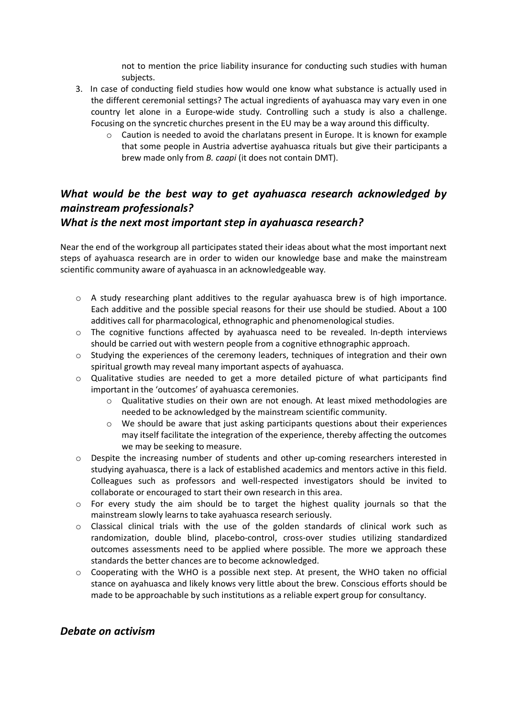not to mention the price liability insurance for conducting such studies with human subjects.

- 3. In case of conducting field studies how would one know what substance is actually used in the different ceremonial settings? The actual ingredients of ayahuasca may vary even in one country let alone in a Europe-wide study. Controlling such a study is also a challenge. Focusing on the syncretic churches present in the EU may be a way around this difficulty.
	- o Caution is needed to avoid the charlatans present in Europe. It is known for example that some people in Austria advertise ayahuasca rituals but give their participants a brew made only from *B. caapi* (it does not contain DMT).

# *What would be the best way to get ayahuasca research acknowledged by mainstream professionals?*

### *What is the next most important step in ayahuasca research?*

Near the end of the workgroup all participates stated their ideas about what the most important next steps of ayahuasca research are in order to widen our knowledge base and make the mainstream scientific community aware of ayahuasca in an acknowledgeable way.

- o A study researching plant additives to the regular ayahuasca brew is of high importance. Each additive and the possible special reasons for their use should be studied. About a 100 additives call for pharmacological, ethnographic and phenomenological studies.
- $\circ$  The cognitive functions affected by ayahuasca need to be revealed. In-depth interviews should be carried out with western people from a cognitive ethnographic approach.
- $\circ$  Studying the experiences of the ceremony leaders, techniques of integration and their own spiritual growth may reveal many important aspects of ayahuasca.
- $\circ$  Qualitative studies are needed to get a more detailed picture of what participants find important in the 'outcomes' of ayahuasca ceremonies.
	- $\circ$  Qualitative studies on their own are not enough. At least mixed methodologies are needed to be acknowledged by the mainstream scientific community.
	- o We should be aware that just asking participants questions about their experiences may itself facilitate the integration of the experience, thereby affecting the outcomes we may be seeking to measure.
- o Despite the increasing number of students and other up-coming researchers interested in studying ayahuasca, there is a lack of established academics and mentors active in this field. Colleagues such as professors and well-respected investigators should be invited to collaborate or encouraged to start their own research in this area.
- $\circ$  For every study the aim should be to target the highest quality journals so that the mainstream slowly learns to take ayahuasca research seriously.
- $\circ$  Classical clinical trials with the use of the golden standards of clinical work such as randomization, double blind, placebo-control, cross-over studies utilizing standardized outcomes assessments need to be applied where possible. The more we approach these standards the better chances are to become acknowledged.
- $\circ$  Cooperating with the WHO is a possible next step. At present, the WHO taken no official stance on ayahuasca and likely knows very little about the brew. Conscious efforts should be made to be approachable by such institutions as a reliable expert group for consultancy.

## *Debate on activism*